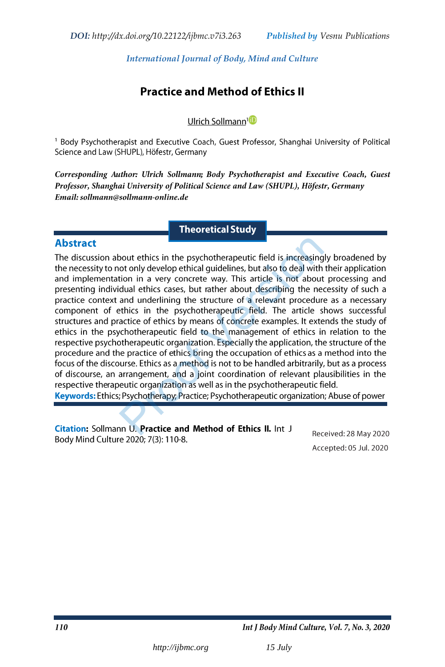# *[International Journal of Body, Mind and Culture](ijbmc.org)*

# **Practice and Method of Ethics II**

# Ulrich Sollmann<sup>1</sup>

<sup>1</sup> Body Psychotherapist and Executive Coach, Guest Professor, Shanghai University of Political Science and Law (SHUPL), Höfestr, Germany

Corresponding Author: Ulrich Sollmann; Body Psychotherapist and Executive Coach, Guest Professor, Shanghai University of Political Science and Law (SHUPL), Höfestr, Germany Email: sollmann@sollmann-online.de

# **Theoretical Study**

# **Abstract**

bout ethics in the psychotherapeutic field is increasing<br>ot only develop ethical guidelines, but also to deal with<br>tion in a very concrete way. This article is not about<br>dual ethics cases, but rather about describing the n

Accepted: 05 Jul. 2020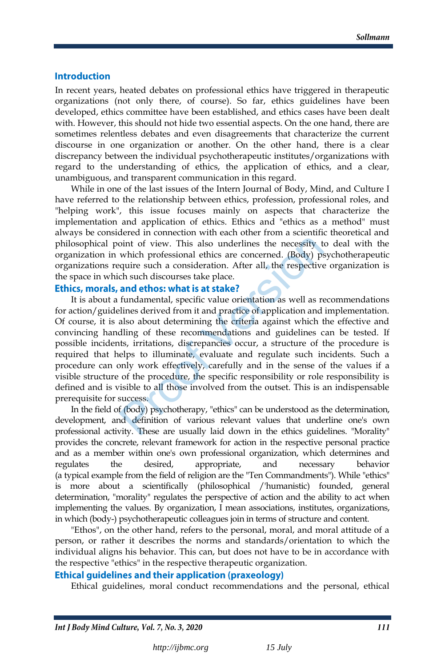### **Introduction**

In recent years, heated debates on professional ethics have triggered in therapeutic organizations (not only there, of course). So far, ethics guidelines have been developed, ethics committee have been established, and ethics cases have been dealt with. However, this should not hide two essential aspects. On the one hand, there are sometimes relentless debates and even disagreements that characterize the current discourse in one organization or another. On the other hand, there is a clear discrepancy between the individual psychotherapeutic institutes/organizations with regard to the understanding of ethics, the application of ethics, and a clear, unambiguous, and transparent communication in this regard.

While in one of the last issues of the Intern Journal of Body, Mind, and Culture I have referred to the relationship between ethics, profession, professional roles, and "helping work", this issue focuses mainly on aspects that characterize the implementation and application of ethics. Ethics and "ethics as a method" must always be considered in connection with each other from a scientific theoretical and philosophical point of view. This also underlines the necessity to deal with the organization in which professional ethics are concerned. (Body) psychotherapeutic organizations require such a consideration. After all, the respective organization is the space in which such discourses take place.

It is about a fundamental, specific value orientation as well as recommendations for action/guidelines derived from it and practice of application and implementation. Of course, it is also about determining the criteria against which the effective and convincing handling of these recommendations and guidelines can be tested. If possible incidents, irritations, discrepancies occur, a structure of the procedure is required that helps to illuminate, evaluate and regulate such incidents. Such a procedure can only work effectively, carefully and in the sense of the values if a visible structure of the procedure, the specific responsibility or role responsibility is defined and is visible to all those involved from the outset. This is an indispensable prerequisite for success. oint of view. This also underlines the necessity t<br>which professional ethics are concerned. (Body) ps<br>quire such a consideration. After all, the respective<br>ch such discourses take place.<br>**and ethos: what is at stake?**<br>fund

In the field of (body) psychotherapy, "ethics" can be understood as the determination, development, and definition of various relevant values that underline one's own professional activity. These are usually laid down in the ethics guidelines. "Morality" provides the concrete, relevant framework for action in the respective personal practice and as a member within one's own professional organization, which determines and regulates the desired, appropriate, and necessary behavior (a typical example from the field of religion are the "Ten Commandments"). While "ethics" is more about a scientifically (philosophical /'humanistic) founded, general determination, "morality" regulates the perspective of action and the ability to act when implementing the values. By organization, I mean associations, institutes, organizations, in which (body-) psychotherapeutic colleagues join in terms of structure and content.

"Ethos", on the other hand, refers to the personal, moral, and moral attitude of a person, or rather it describes the norms and standards/orientation to which the individual aligns his behavior. This can, but does not have to be in accordance with the respective "ethics" in the respective therapeutic organization.

### **Ethical quidelines and their application (praxeology)**

Ethical guidelines, moral conduct recommendations and the personal, ethical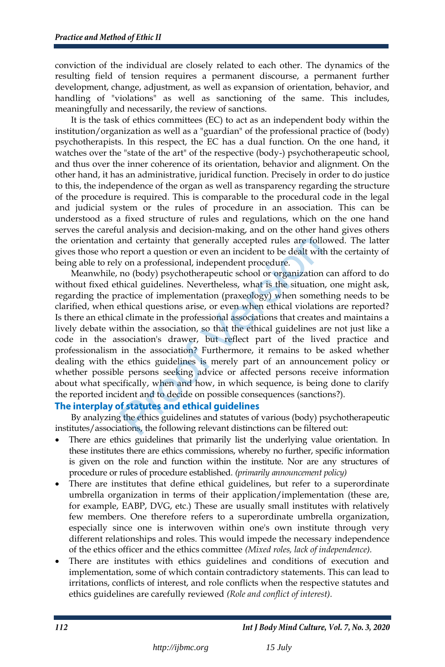conviction of the individual are closely related to each other. The dynamics of the resulting field of tension requires a permanent discourse, a permanent further development, change, adjustment, as well as expansion of orientation, behavior, and handling of "violations" as well as sanctioning of the same. This includes, meaningfully and necessarily, the review of sanctions.

It is the task of ethics committees (EC) to act as an independent body within the institution/organization as well as a "guardian" of the professional practice of (body) psychotherapists. In this respect, the EC has a dual function. On the one hand, it watches over the "state of the art" of the respective (body-) psychotherapeutic school, and thus over the inner coherence of its orientation, behavior and alignment. On the other hand, it has an administrative, juridical function. Precisely in order to do justice to this, the independence of the organ as well as transparency regarding the structure of the procedure is required. This is comparable to the procedural code in the legal and judicial system or the rules of procedure in an association. This can be understood as a fixed structure of rules and regulations, which on the one hand serves the careful analysis and decision-making, and on the other hand gives others the orientation and certainty that generally accepted rules are followed. The latter gives those who report a question or even an incident to be dealt with the certainty of being able to rely on a professional, independent procedure.

Meanwhile, no (body) psychotherapeutic school or organization can afford to do without fixed ethical guidelines. Nevertheless, what is the situation, one might ask, regarding the practice of implementation (praxeology) when something needs to be clarified, when ethical questions arise, or even when ethical violations are reported? Is there an ethical climate in the professional associations that creates and maintains a lively debate within the association, so that the ethical guidelines are not just like a code in the association's drawer, but reflect part of the lived practice and professionalism in the association? Furthermore, it remains to be asked whether dealing with the ethics guidelines is merely part of an announcement policy or whether possible persons seeking advice or affected persons receive information about what specifically, when and how, in which sequence, is being done to clarify the reported incident and to decide on possible consequences (sanctions?). and certainty that generally accepted rules are folloure<br>prort a question or even an incident to be dealt with<br>y on a professional, independent procedure.<br>no (body) psychotherapeutic school or organization<br>hical guidelines

By analyzing the ethics guidelines and statutes of various (body) psychotherapeutic institutes/associations, the following relevant distinctions can be filtered out:

- There are ethics guidelines that primarily list the underlying value orientation. In these institutes there are ethics commissions, whereby no further, specific information is given on the role and function within the institute. Nor are any structures of procedure or rules of procedure established. *(primarily announcement policy)*
- There are institutes that define ethical guidelines, but refer to a superordinate umbrella organization in terms of their application/implementation (these are, for example, EABP, DVG, etc.) These are usually small institutes with relatively few members. One therefore refers to a superordinate umbrella organization, especially since one is interwoven within one's own institute through very different relationships and roles. This would impede the necessary independence of the ethics officer and the ethics committee *(Mixed roles, lack of independence).*
- There are institutes with ethics guidelines and conditions of execution and implementation, some of which contain contradictory statements. This can lead to irritations, conflicts of interest, and role conflicts when the respective statutes and ethics guidelines are carefully reviewed *(Role and conflict of interest).*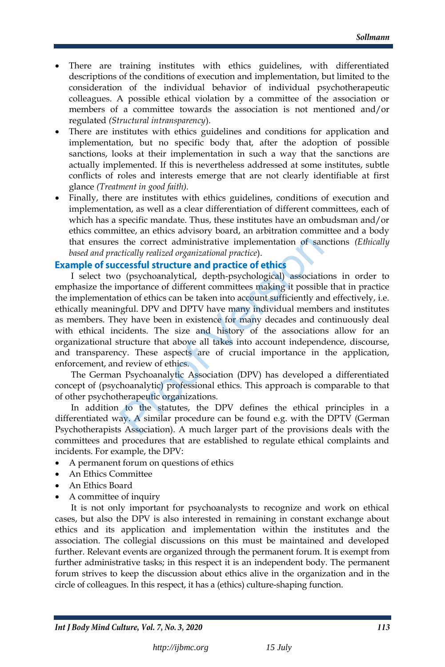- There are training institutes with ethics guidelines, with differentiated descriptions of the conditions of execution and implementation, but limited to the consideration of the individual behavior of individual psychotherapeutic colleagues. A possible ethical violation by a committee of the association or members of a committee towards the association is not mentioned and/or regulated *(Structural intransparency*).
- There are institutes with ethics guidelines and conditions for application and implementation, but no specific body that, after the adoption of possible sanctions, looks at their implementation in such a way that the sanctions are actually implemented. If this is nevertheless addressed at some institutes, subtle conflicts of roles and interests emerge that are not clearly identifiable at first glance *(Treatment in good faith).*
- Finally, there are institutes with ethics guidelines, conditions of execution and implementation, as well as a clear differentiation of different committees, each of which has a specific mandate. Thus, these institutes have an ombudsman and/or ethics committee, an ethics advisory board, an arbitration committee and a body that ensures the correct administrative implementation of sanctions *(Ethically based and practically realized organizational practice*).

I select two (psychoanalytical, depth-psychological) associations in order to emphasize the importance of different committees making it possible that in practice the implementation of ethics can be taken into account sufficiently and effectively, i.e. ethically meaningful. DPV and DPTV have many individual members and institutes as members. They have been in existence for many decades and continuously deal with ethical incidents. The size and history of the associations allow for an organizational structure that above all takes into account independence, discourse, and transparency. These aspects are of crucial importance in the application, enforcement, and review of ethics. the correct administrative implementation of sarcically realized organizational practice).<br> **CESSful structure and practice of ethics**<br>
(psychoanalytical, depth-psychological) association<br>
mportance of different committees

The German Psychoanalytic Association (DPV) has developed a differentiated concept of (psychoanalytic) professional ethics. This approach is comparable to that of other psychotherapeutic organizations.

In addition to the statutes, the DPV defines the ethical principles in a differentiated way. A similar procedure can be found e.g. with the DPTV (German Psychotherapists Association). A much larger part of the provisions deals with the committees and procedures that are established to regulate ethical complaints and incidents. For example, the DPV:

- A permanent forum on questions of ethics
- An Ethics Committee
- An Ethics Board
- A committee of inquiry

It is not only important for psychoanalysts to recognize and work on ethical cases, but also the DPV is also interested in remaining in constant exchange about ethics and its application and implementation within the institutes and the association. The collegial discussions on this must be maintained and developed further. Relevant events are organized through the permanent forum. It is exempt from further administrative tasks; in this respect it is an independent body. The permanent forum strives to keep the discussion about ethics alive in the organization and in the circle of colleagues. In this respect, it has a (ethics) culture-shaping function.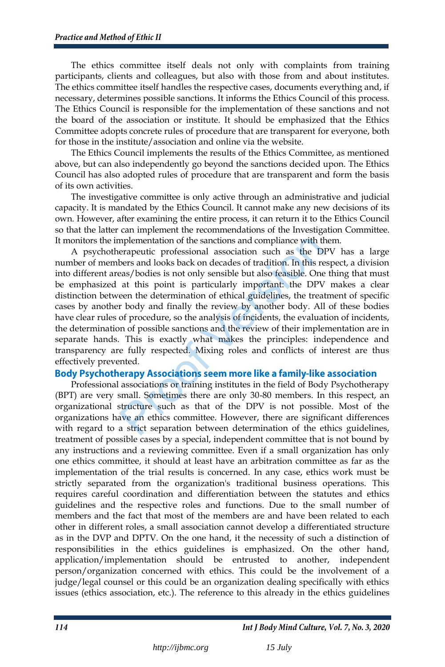The ethics committee itself deals not only with complaints from training participants, clients and colleagues, but also with those from and about institutes. The ethics committee itself handles the respective cases, documents everything and, if necessary, determines possible sanctions. It informs the Ethics Council of this process. The Ethics Council is responsible for the implementation of these sanctions and not the board of the association or institute. It should be emphasized that the Ethics Committee adopts concrete rules of procedure that are transparent for everyone, both for those in the institute/association and online via the website.

The Ethics Council implements the results of the Ethics Committee, as mentioned above, but can also independently go beyond the sanctions decided upon. The Ethics Council has also adopted rules of procedure that are transparent and form the basis of its own activities.

The investigative committee is only active through an administrative and judicial capacity. It is mandated by the Ethics Council. It cannot make any new decisions of its own. However, after examining the entire process, it can return it to the Ethics Council so that the latter can implement the recommendations of the Investigation Committee. It monitors the implementation of the sanctions and compliance with them.

A psychotherapeutic professional association such as the DPV has a large number of members and looks back on decades of tradition. In this respect, a division into different areas/bodies is not only sensible but also feasible. One thing that must be emphasized at this point is particularly important: the DPV makes a clear distinction between the determination of ethical guidelines, the treatment of specific cases by another body and finally the review by another body. All of these bodies have clear rules of procedure, so the analysis of incidents, the evaluation of incidents, the determination of possible sanctions and the review of their implementation are in separate hands. This is exactly what makes the principles: independence and transparency are fully respected. Mixing roles and conflicts of interest are thus effectively prevented. mplementation of the sanctions and compliance with the rapeutic professional association such as the D<br>bers and looks back on decades of tradition. In this reas/bodies is not only sensible but also feasible. One<br>at this po

Professional associations or training institutes in the field of Body Psychotherapy (BPT) are very small. Sometimes there are only 30-80 members. In this respect, an organizational structure such as that of the DPV is not possible. Most of the organizations have an ethics committee. However, there are significant differences with regard to a strict separation between determination of the ethics guidelines, treatment of possible cases by a special, independent committee that is not bound by any instructions and a reviewing committee. Even if a small organization has only one ethics committee, it should at least have an arbitration committee as far as the implementation of the trial results is concerned. In any case, ethics work must be strictly separated from the organization's traditional business operations. This requires careful coordination and differentiation between the statutes and ethics guidelines and the respective roles and functions. Due to the small number of members and the fact that most of the members are and have been related to each other in different roles, a small association cannot develop a differentiated structure as in the DVP and DPTV. On the one hand, it the necessity of such a distinction of responsibilities in the ethics guidelines is emphasized. On the other hand, application/implementation should be entrusted to another, independent person/organization concerned with ethics. This could be the involvement of a judge/legal counsel or this could be an organization dealing specifically with ethics issues (ethics association, etc.). The reference to this already in the ethics guidelines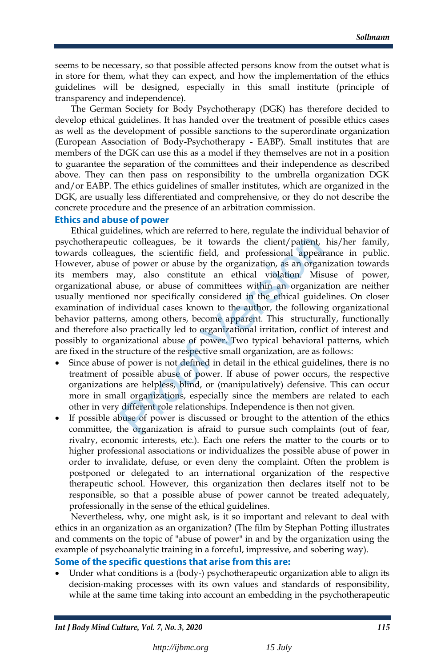seems to be necessary, so that possible affected persons know from the outset what is in store for them, what they can expect, and how the implementation of the ethics guidelines will be designed, especially in this small institute (principle of transparency and independence).

The German Society for Body Psychotherapy (DGK) has therefore decided to develop ethical guidelines. It has handed over the treatment of possible ethics cases as well as the development of possible sanctions to the superordinate organization (European Association of Body-Psychotherapy - EABP). Small institutes that are members of the DGK can use this as a model if they themselves are not in a position to guarantee the separation of the committees and their independence as described above. They can then pass on responsibility to the umbrella organization DGK and/or EABP. The ethics guidelines of smaller institutes, which are organized in the DGK, are usually less differentiated and comprehensive, or they do not describe the concrete procedure and the presence of an arbitration commission.

# **Ethics and abuse of power**

Ethical guidelines, which are referred to here, regulate the individual behavior of psychotherapeutic colleagues, be it towards the client/patient, his/her family, towards colleagues, the scientific field, and professional appearance in public. However, abuse of power or abuse by the organization, as an organization towards its members may, also constitute an ethical violation. Misuse of power, organizational abuse, or abuse of committees within an organization are neither usually mentioned nor specifically considered in the ethical guidelines. On closer examination of individual cases known to the author, the following organizational behavior patterns, among others, become apparent. This structurally, functionally and therefore also practically led to organizational irritation, conflict of interest and possibly to organizational abuse of power. Two typical behavioral patterns, which are fixed in the structure of the respective small organization, are as follows: tic colleagues, be it towards the client/patient,<br>ques, the scientific field, and professional appear<br>of power or abuse by the organization, as an organ<br>may, also constitute an ethical violation. Mis<br>buse, or abuse of comm

- Since abuse of power is not defined in detail in the ethical guidelines, there is no treatment of possible abuse of power. If abuse of power occurs, the respective organizations are helpless, blind, or (manipulatively) defensive. This can occur more in small organizations, especially since the members are related to each other in very different role relationships. Independence is then not given.
- If possible abuse of power is discussed or brought to the attention of the ethics committee, the organization is afraid to pursue such complaints (out of fear, rivalry, economic interests, etc.). Each one refers the matter to the courts or to higher professional associations or individualizes the possible abuse of power in order to invalidate, defuse, or even deny the complaint. Often the problem is postponed or delegated to an international organization of the respective therapeutic school. However, this organization then declares itself not to be responsible, so that a possible abuse of power cannot be treated adequately, professionally in the sense of the ethical guidelines.

Nevertheless, why, one might ask, is it so important and relevant to deal with ethics in an organization as an organization? (The film by Stephan Potting illustrates and comments on the topic of "abuse of power" in and by the organization using the example of psychoanalytic training in a forceful, impressive, and sobering way).

### Some of the specific questions that arise from this are:

 Under what conditions is a (body-) psychotherapeutic organization able to align its decision-making processes with its own values and standards of responsibility, while at the same time taking into account an embedding in the psychotherapeutic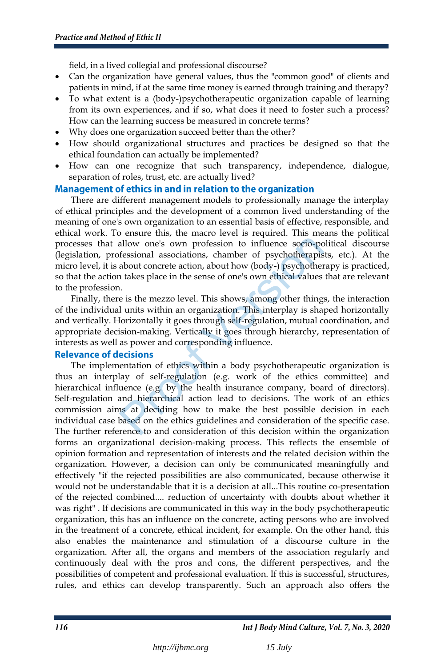field, in a lived collegial and professional discourse?

- Can the organization have general values, thus the "common good" of clients and patients in mind, if at the same time money is earned through training and therapy?
- To what extent is a (body-)psychotherapeutic organization capable of learning from its own experiences, and if so, what does it need to foster such a process? How can the learning success be measured in concrete terms?
- Why does one organization succeed better than the other?
- How should organizational structures and practices be designed so that the ethical foundation can actually be implemented?
- How can one recognize that such transparency, independence, dialogue, separation of roles, trust, etc. are actually lived?

### Management of ethics in and in relation to the organization

There are different management models to professionally manage the interplay of ethical principles and the development of a common lived understanding of the meaning of one's own organization to an essential basis of effective, responsible, and ethical work. To ensure this, the macro level is required. This means the political processes that allow one's own profession to influence socio-political discourse (legislation, professional associations, chamber of psychotherapists, etc.). At the micro level, it is about concrete action, about how (body-) psychotherapy is practiced, so that the action takes place in the sense of one's own ethical values that are relevant to the profession.

Finally, there is the mezzo level. This shows, among other things, the interaction of the individual units within an organization. This interplay is shaped horizontally and vertically. Horizontally it goes through self-regulation, mutual coordination, and appropriate decision-making. Vertically it goes through hierarchy, representation of interests as well as power and corresponding influence.

The implementation of ethics within a body psychotherapeutic organization is thus an interplay of self-regulation (e.g. work of the ethics committee) and hierarchical influence (e.g. by the health insurance company, board of directors). Self-regulation and hierarchical action lead to decisions. The work of an ethics commission aims at deciding how to make the best possible decision in each individual case based on the ethics guidelines and consideration of the specific case. The further reference to and consideration of this decision within the organization forms an organizational decision-making process. This reflects the ensemble of opinion formation and representation of interests and the related decision within the organization. However, a decision can only be communicated meaningfully and effectively "if the rejected possibilities are also communicated, because otherwise it would not be understandable that it is a decision at all...This routine co-presentation of the rejected combined.... reduction of uncertainty with doubts about whether it was right" . If decisions are communicated in this way in the body psychotherapeutic organization, this has an influence on the concrete, acting persons who are involved in the treatment of a concrete, ethical incident, for example. On the other hand, this also enables the maintenance and stimulation of a discourse culture in the organization. After all, the organs and members of the association regularly and continuously deal with the pros and cons, the different perspectives, and the possibilities of competent and professional evaluation. If this is successful, structures, rules, and ethics can develop transparently. Such an approach also offers the allow one's own profession to influence socio-porfessional associations, chamber of psychotherapis<br>about concrete action, about how (body-) psychotherapis<br>about concrete action, about how (body-) psychother<br>a takes place i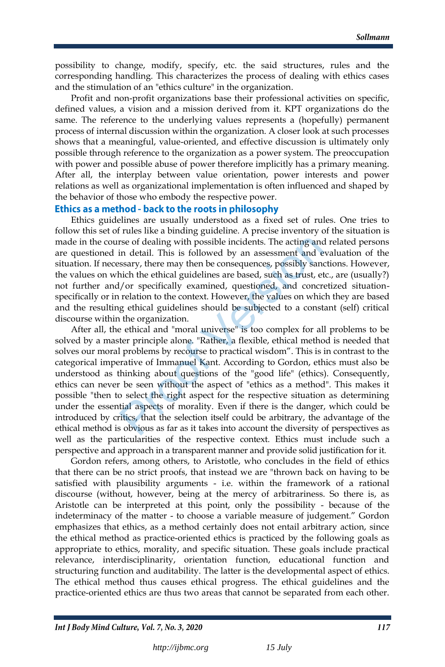possibility to change, modify, specify, etc. the said structures, rules and the corresponding handling. This characterizes the process of dealing with ethics cases and the stimulation of an "ethics culture" in the organization.

Profit and non-profit organizations base their professional activities on specific, defined values, a vision and a mission derived from it. KPT organizations do the same. The reference to the underlying values represents a (hopefully) permanent process of internal discussion within the organization. A closer look at such processes shows that a meaningful, value-oriented, and effective discussion is ultimately only possible through reference to the organization as a power system. The preoccupation with power and possible abuse of power therefore implicitly has a primary meaning. After all, the interplay between value orientation, power interests and power relations as well as organizational implementation is often influenced and shaped by the behavior of those who embody the respective power.

### Ethics as a method - back to the roots in philosophy

Ethics guidelines are usually understood as a fixed set of rules. One tries to follow this set of rules like a binding guideline. A precise inventory of the situation is made in the course of dealing with possible incidents. The acting and related persons are questioned in detail. This is followed by an assessment and evaluation of the situation. If necessary, there may then be consequences, possibly sanctions. However, the values on which the ethical guidelines are based, such as trust, etc., are (usually?) not further and/or specifically examined, questioned, and concretized situationspecifically or in relation to the context. However, the values on which they are based and the resulting ethical guidelines should be subjected to a constant (self) critical discourse within the organization.

After all, the ethical and "moral universe" is too complex for all problems to be solved by a master principle alone. "Rather, a flexible, ethical method is needed that solves our moral problems by recourse to practical wisdom". This is in contrast to the categorical imperative of Immanuel Kant. According to Gordon, ethics must also be understood as thinking about questions of the "good life" (ethics). Consequently, ethics can never be seen without the aspect of "ethics as a method". This makes it possible "then to select the right aspect for the respective situation as determining under the essential aspects of morality. Even if there is the danger, which could be introduced by critics, that the selection itself could be arbitrary, the advantage of the ethical method is obvious as far as it takes into account the diversity of perspectives as well as the particularities of the respective context. Ethics must include such a perspective and approach in a transparent manner and provide solid justification for it. rse of dealing with possible incidents. The acting and<br>in detail. This is followed by an assessment and e<br>ssary, there may then be consequences, possibly sand<br>ich the ethical guidelines are based, such as trust, et<br>//or sp

Gordon refers, among others, to Aristotle, who concludes in the field of ethics that there can be no strict proofs, that instead we are "thrown back on having to be satisfied with plausibility arguments - i.e. within the framework of a rational discourse (without, however, being at the mercy of arbitrariness. So there is, as Aristotle can be interpreted at this point, only the possibility - because of the indeterminacy of the matter - to choose a variable measure of judgement." Gordon emphasizes that ethics, as a method certainly does not entail arbitrary action, since the ethical method as practice-oriented ethics is practiced by the following goals as appropriate to ethics, morality, and specific situation. These goals include practical relevance, interdisciplinarity, orientation function, educational function and structuring function and auditability. The latter is the developmental aspect of ethics. The ethical method thus causes ethical progress. The ethical guidelines and the practice-oriented ethics are thus two areas that cannot be separated from each other.